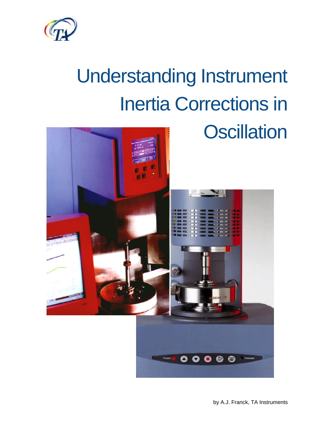

# Understanding Instrument Inertia Corrections in

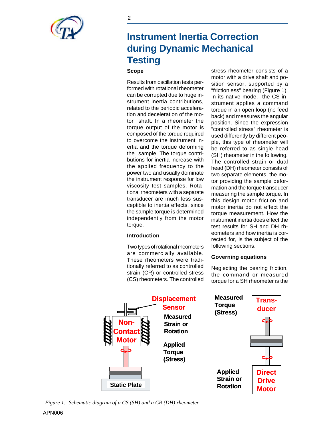

# **Instrument Inertia Correction during Dynamic Mechanical Testing**

## **Scope**

Results from oscillation tests performed with rotational rheometer can be corrupted due to huge instrument inertia contributions, related to the periodic acceleration and deceleration of the motor shaft. In a rheometer the torque output of the motor is composed of the torque required to overcome the instrument inertia and the torque deforming the sample. The torque contributions for inertia increase with the applied frequency to the power two and usually dominate the instrument response for low viscosity test samples. Rotational rheometers with a separate transducer are much less susceptible to inertia effects, since the sample torque is determined independently from the motor torque.

#### **Introduction**

Two types of rotational rheometers are commercially available. These rheometers were traditionally referred to as controlled strain (CR) or controlled stress (CS) rheometers. The controlled stress rheometer consists of a motor with a drive shaft and position sensor, supported by a "frictionless" bearing (Figure 1). In its native mode, the CS instrument applies a command torque in an open loop (no feed back) and measures the angular position. Since the expression "controlled stress" rheometer is used differently by different people, this type of rheometer will be referred to as single head (SH) rheometer in the following. The controlled strain or dual head (DH) rheometer consists of two separate elements, the motor providing the sample deformation and the torque transducer measuring the sample torque. In this design motor friction and motor inertia do not effect the torque measurement. How the instrument inertia does effect the test results for SH and DH rheometers and how inertia is corrected for, is the subject of the following sections.

### **Governing equations**

Neglecting the bearing friction, the command or measured torque for a SH rheometer is the



*Figure 1: Schematic diagram of a CS (SH) and a CR (DH) rheometer*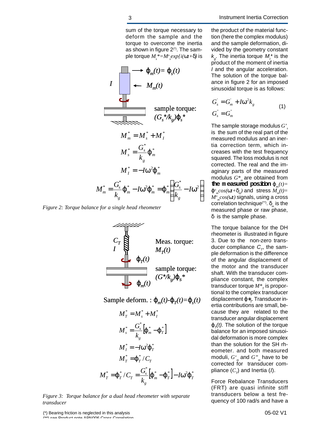sum of the torque necessary to deform the sample and the torque to overcome the inertia as shown in figure  $2<sup>(*)</sup>$ . The sample torque *M<sup>s</sup> \*=M<sup>o</sup> s exp{i(wt+d)* is

$$
I \longrightarrow J_{m}(t) = j_{s}(t)
$$
\n
$$
I \longrightarrow M_{m}(t)
$$
\n
$$
M_{m}^{*} = M_{s}^{*} + M_{t}^{*}
$$
\n
$$
M_{s}^{*} = \frac{G_{s}^{*}}{k_{g}} \mathbf{j}_{m}^{*}
$$
\n
$$
M_{t}^{*} = -I w \mathbf{j}_{m}^{*}
$$
\n
$$
M_{t}^{*} = -I w \mathbf{j}_{m}^{*}
$$
\n
$$
M_{m}^{*} = \frac{G_{s}^{*}}{k_{g}} \mathbf{j}_{m}^{*} - I w \mathbf{j}_{m}^{*} = \mathbf{j}_{m}^{*} \left( \frac{G_{s}^{*}}{k_{g}} - I w^{2} \right)
$$

*Figure 2: Torque balance for a single head rheometer*



Sample deform. :  $\boldsymbol{j}_m(t)$ - $\boldsymbol{j}_T(t)$ = $\boldsymbol{j}_s(t)$ 

$$
M_T^* = M_s^* + M_I^*
$$
  
\n
$$
M_s^* = \frac{G_s^*}{k_g} \left[ \mathbf{j}_m^* - \mathbf{j}_T^* \right]
$$
  
\n
$$
M_I^* = -I \mathbf{w}_J^2 \mathbf{j}_T^*
$$
  
\n
$$
M_T^* = \mathbf{j}_T^* / C_T
$$
  
\n
$$
M_T^* = \mathbf{j}_T^* / C_T = \frac{G_s^*}{k_g} \left[ \mathbf{j}_m^* - \mathbf{j}_T^* \right] - I \mathbf{w}_J^2 \mathbf{j}_T^*
$$

*Figure 3: Torque balance for a dual head rheometer with separate transducer*

the product of the material function (here the complex modulus) and the sample deformation, divided by the geometry constant  $k_{\rm g}$ . The inertia torque  $M_{\rm g}$ <sup>\*</sup> is the product of the moment of inertia *I* and the angular acceleration. The solution of the torque balance in figure 2 for an imposed sinusoidal torque is as follows:

$$
Gs+ = Gm+ + Iw2kg
$$
  
\n
$$
Gs* = Gm*
$$
 (1)

The sample storage modulus *G' s* is the sum of the real part of the measured modulus and an inertia correction term, which increases with the test frequency squared. The loss modulus is not corrected. The real and the imaginary parts of the measured modulus *G\*<sup>m</sup>* are obtained from the measured position  $j_{m}(t)$  =  $j^o_{m} cos(\omega t + d_m)$  and stress  $M_m(t)$ = *M<sup>o</sup> m cos(wt)* signals, using a cross correlation technique(\*\*) . *d<sup>m</sup>* is the measured phase or raw phase, *d* is the sample phase.

The torque balance for the DH rheometer is illustrated in figure 3. Due to the non-zero transducer compliance  $C_r$ , the sample deformation is the difference of the angular displacement of the motor and the transducer shaft. With the transducer compliance constant, the complex transducer torque  $M^*_{\phantom *T}$  is proportional to the complex transducer displacement *j\*<sup>T</sup> .* Transducer inertia contributions are small, because they are related to the transducer angular displacement  $j$   $_{\tau}$ (t). The solution of the torque balance for an imposed sinusoidal deformation is more complex than the solution for the SH rheometer. and both measured moduli,  $G_{\ \ m}^{\epsilon}$  and  $G_{\ \ m}^{\nu}$  have to be corrected for transducer compliance (*C<sup>T</sup>* ) and Inertia (*I*).

Force Rebalance Transducers (FRT) are quasi infinite stiff transducers below a test frequency of 100 rad/s and have a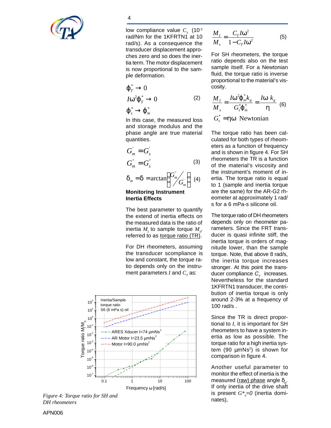

low compliance value  $C<sub>x</sub>$  (10<sup>-2</sup>) rad/Nm for the 1KFRTN1 at 10 rad/s). As a consequence the transducer displacement approches zero and so does the inertia term. The motor displacement is now proportional to the sample deformation.

$$
\begin{aligned}\n\mathbf{j} \stackrel{*}{\underset{r}{\uparrow}} & \to 0 \\
I \mathbf{w}^2 \mathbf{j} \stackrel{*}{\underset{r}{\uparrow}} & \to 0 \\
\mathbf{j} \stackrel{*}{\underset{s}{\smile}} & \to \mathbf{j} \stackrel{*}{\underset{m}{\smile}}\n\end{aligned} \tag{2}
$$

In this case, the measured loss and storage modulus and the phase angle are true material quantities.

$$
Gm' = Gs'
$$
  
\n
$$
Gm" = Gs"
$$
  
\n
$$
dm = d = \arctan\left(\frac{Gm"}{Gm'}\right)
$$
 (4)

 $(4)$ **Monitoring Instrument Inertia Effects**  $\bigg)$  $\left(G_{m}^{^{\mathrm{v}}} \middle/ \right)$ l  $=$ **d** =  $arctan\left(\frac{G_m^*}{G}\right)$ *m*  $d_m = d = \arctan\left(\frac{G_m}{G}\right)$ 

The best parameter to quantify the extend of inertia effects on the measured data is the ratio of inertia  $M_{_I}$  to sample torque  $M_{_S}$ , referred to as torque ratio (TR).

For DH rheometers, assuming the transducer scompliance is low and constant, the torque ratio depends only on the instrument parameters *I* and  $C_{\tau}$  as:



*Figure 4: Torque ratio for SH and DH rheometers*

$$
\frac{M_I}{M_s} = \frac{C_T I \mathbf{w}^2}{1 - C_T I \mathbf{w}^2}
$$
(5)

For SH rheometers, the torque ratio depends also on the test sample itself. For a Newtonian fluid, the torque ratio is inverse proportional to the material's viscosity.

$$
\frac{M_I}{M_s} = \frac{Iw^2 \mathbf{j}^*_{m} k_g}{G_{\mathbf{j}}^* \mathbf{j}^*_{m}} = \frac{Iw k_g}{\mathbf{h}}
$$
 (6)  

$$
G_s^* = \mathbf{h}w \text{ Newtonian}
$$

*s*

The torque ratio has been calculated for both types of rheometers as a function of frequency and is shown in figure 4. For SH rheometers the TR is a function of the material's viscosity and the instrument's moment of inertia. The torque ratio is equal to 1 (sample and inertia torque are the same) for the AR-G2 rheometer at approximately 1 rad/ s for a 6 mPa-s silicone oil.

The torque ratio of DH rheometers depends only on rheometer parameters. Since the FRT transducer is quasi infinite stiff, the inertia torque is orders of magnitude lower, than the sample torque. Note, that above 8 rad/s, the inertia torque increases stronger. At this point the transducer compliance  $C_{\tau}$  increases. Nevertheless for the standard 1KFRTN1 transducer, the contribution of inertia torque is only around 2-3% at a frequency of 100 rad/s .

Since the TR is direct proportional to *I*, it is important for SH rheometers to have a system inertia as low as possible. The torque ratio for a high inertia system (90 μmNs<sup>2</sup>) is shown for comparison in figure 4.

Another useful parameter to monitor the effect of inertia is the measured (raw) phase angle *d<sup>m</sup>* . If only inertia of the drive shaft is present  $G^*_{s} = 0$  (inertia dominates),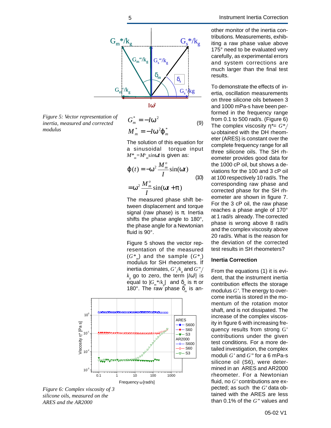

*Figure 5: Vector representation of inertia, measured and corrected modulus*

$$
G_m^* = -Iw^2
$$
  
\n
$$
M_m^* = -Iw^2 \mathbf{j}_m^*
$$
 (9)

The solution of this equation for a sinusoidal torque input *M\*m=M<sup>o</sup> m sinwt* is given as:

$$
\boldsymbol{j} (t) = -\boldsymbol{w}^2 \frac{M_m^o}{I} \sin(\boldsymbol{w}t)
$$

$$
= \boldsymbol{w}^2 \frac{M_m^o}{I} \sin(\boldsymbol{w}t + \boldsymbol{p})
$$
(10)

The measured phase shift between displacement and torque signal (raw phase) is  $\pi$ . Inertia shifts the phase angle to 180°, the phase angle for a Newtonian fluid is 90°.

Figure 5 shows the vector representation of the measured (*G\*<sup>m</sup>* ) and the sample (*G\*<sup>s</sup>* ) modulus for SH rheometers. If  $\mathsf{inertia}\ \mathsf{dominates}\ \mathsf{,}\ G\degree_{\mathscr{J}\!\!\mathsf{K}_g}\ \mathsf{and}\ G\degree_{\mathscr{J}\!\!\mathsf{K}_g}$  $k_{\rm g}$  go to zero, the term  $|I$ w<sup>2</sup> $|$  is ẽqual to  $|G_{_m}^{_**}/k_{_g}^{*}|$  and  $\delta_{_m}^{*}$  is π or 180°. The raw phase  $\delta_m$  is an-



*Figure 6: Complex viscosity of 3 silicone oils, measured on the ARES and the AR2000*

other monitor of the inertia contributions. Measurements, exhibiting a raw phase value above 175° need to be evaluated very carefully, as experimental errors and system corrections are much larger than the final test results.

To demonstrate the effects of inertia, oscillation measurements on three silicone oils between 3 and 1000 mPa-s have been performed in the frequency range from 0.1 to 500 rad/s. (Figure 6) The complex viscosity *h\**= *G\*<sup>s</sup>* / ω obtained with the DH rheometer (ARES) is constant over the complete frequency range for all three silicone oils. The SH rheometer provides good data for the 1000 cP oil, but shows a deviations for the 100 and 3 cP oil at 100 respectively 10 rad/s. The corresponding raw phase and corrected phase for the SH rheometer are shown in figure 7. For the 3 cP oil, the raw phase reaches a phase angle of 170° at 1 rad/s already. The corrected phase is wrong above 8 rad/s and the complex viscosity above 20 rad/s. What is the reason for the deviation of the corrected test results in SH rheometers?

#### **Inertia Correction**

From the equations (1) it is evident, that the instrument inertia contribution effects the storage modulus *G'*. The energy to overcome inertia is stored in the momentum of the rotation motor shaft, and is not dissipated. The increase of the complex viscosity in figure 6 with increasing frequency results from strong G' contributions under the given test conditions. For a more detailed investigation, the complex moduli *G'* and *G"* for a 6 mPa-s silicone oil (S6), were determined in an ARES and AR2000 rheometer. For a Newtonian fluid, no *G'* contributions are expected; as such the *G'* data obtained with the ARES are less than 0.1% of the *G"* values and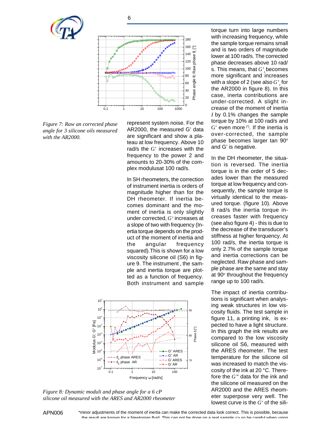





*Figure 7: Raw an corrected phase angle for 3 silicone oils measured with the AR2000.*

represent system noise. For the AR2000, the measured G' data are significant and show a plateau at low frequency. Above 10 rad/s the G' increases with the frequency to the power 2 and amounts to 20-30% of the complex modulusat 100 rad/s.

In SH rheometers, the correction of instrument inertia is orders of magnitude higher than for the DH rheometer. If inertia becomes dominant and the moment of inertia is only slightly under corrected, *G'* increases at a slope of two with frequency (Inertia torque depends on the product of the moment of inertia and the angular frequency squared).This is shown for a low viscosity silicone oil (S6) in figure 9. The instrument , the sample and inertia torque are plotted as a function of frequency. Both instrument and sample



*Figure 8: Dynamic moduli and phase angle for a 6 cP silicone oil measured with the ARES and AR2000 rheometer*

torque turn into large numbers with increasing frequency, while the sample torque remains small and is two orders of magnitude lower at 100 rad/s. The corrected phase decreases above 10 rad/ s. This means, that *G' s*  becomes more significant and increases with a slope of 2 (see also  $G^{\ast}_{s}$  for the AR2000 in figure 8). In this case, inerta contributions are under-corrected. A slight increase of the moment of inertia *I* by 0.1% changes the sample torque by 10% at 100 rad/s and  $G'$  even more  $(')$ . If the inertia is over-corrected, the sample phase becomes larger tan 90° and G' is negative.

In the DH rheometer, the situation is reversed. The inertia torque is in the order of 5 decades lower than the measured torque at low frequency and consequently, the sample torque is virtually identical to the measured torque. (figure 10). Above 8 rad/s the inertia torque increases faster with frequency (see also figure 4) - this is due to the decrease of the transducer's stiffness at higher ferquency. At 100 rad/s, the inertia torque is only 2.7% of the sample torque and inertia corrections can be neglected. Raw phase and sample phase are the same and stay at 90° throughout the frequency range up to 100 rad/s.

The impact of inertia contributions is significant when analysing weak structures in low viscosity fluids. The test sample in figure 11, a printing ink, is expected to have a light structure. In this graph the ink results are compared to the low viscosity silicone oil S6, measured with the ARES rheometer. The test temperature for the silicone oil was increased to match the viscosity of the ink at 20 °C. Therefore the *G"* data for the ink and the silicone oil measured on the AR2000 and the ARES rheometer superpose very well. The lowest curve is the *G'* of the sili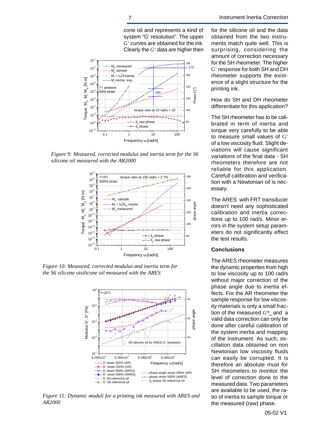cone oil and represents a kind of system "G' resolution". The upper *G'* curves are obtained for the ink. Clearly the *G'* data are higher then



*Figure 9: Measured, corrected modulus and inertia term for the S6 silicone oil measured with the AR2000*



*Figure 10: Measured, corrected modulus and inertia term for the S6 silicone oisilicone oil measured with the ARES*



*Figure 11: Dynamic moduli for a printing ink measured with ARES and AR2000*

for the silicone oil and the data obtained from the two instruments match quite well. This is surprising, considering the amount of correction necessary for the SH rheometer. The higher G' response for both SH and DH rheometer supports the existence of a slight structure for the printing ink.

How do SH and DH rheometer differentiate for this application?

The SH rheometer has to be calibrated in term of inertia and torque very carefully to be able to measure small values of G' of a low viscosity fluid. Slight deviations will cause significant variations of the final data - SH rheometers therefore are not reliable for this application. Carefull calibration and verification with a Newtonian oil is necessary.

The ARES with FRT transducer doesn't need any sophisticated calibration and inertia corrections up to 100 rad/s. Minor errors in the system setup parameters do not significantly effect the test results.

#### **Conclusions**

The ARES rheometer measures the dynamic properties from high to low viscosity up to 100 rad/s without major correction of the phase angle due to inertia effects. For the AR rheometer the sample response for low viscosity materials is only a small fraction of the measured  $G^*_{\;\;m}$  and  $\;$ a valid data correction can only be done after careful calibration of the system inertia and mapping of the instrument. As such, oscillation data obtained on non Newtonian low viscosity fluids can easily be corrupted. It is therefore an absolute must for SH rheometers to monitor the level of correction done to the measured data. Two parameters are available to be used, the ratio of inertia to sample torque or the measured (raw) phase.